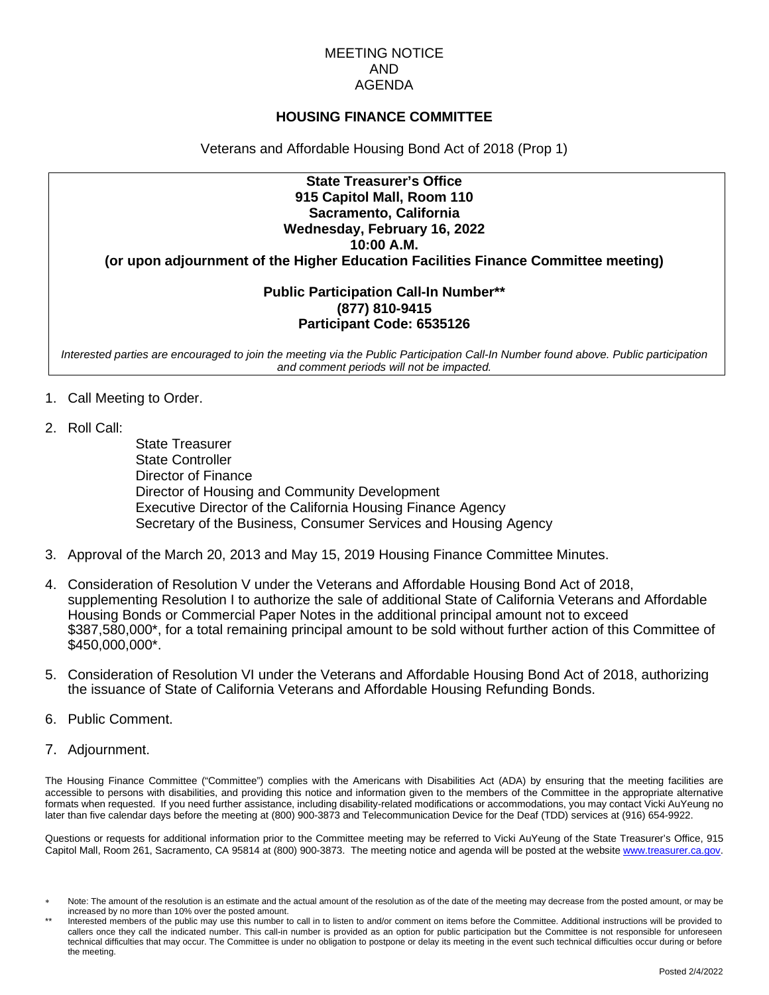#### MEETING NOTICE AND AGENDA

### **HOUSING FINANCE COMMITTEE**

Veterans and Affordable Housing Bond Act of 2018 (Prop 1)

# **State Treasurer's Office 915 Capitol Mall, Room 110 Sacramento, California Wednesday, February 16, 2022 10:00 A.M.**

**(or upon adjournment of the Higher Education Facilities Finance Committee meeting)**

### **Public Participation Call-In Number\*\* (877) 810-9415 Participant Code: 6535126**

*Interested parties are encouraged to join the meeting via the Public Participation Call-In Number found above. Public participation and comment periods will not be impacted.*

- 1. Call Meeting to Order.
- 2. Roll Call:

State Treasurer State Controller Director of Finance Director of Housing and Community Development Executive Director of the California Housing Finance Agency Secretary of the Business, Consumer Services and Housing Agency

- 3. Approval of the March 20, 2013 and May 15, 2019 Housing Finance Committee Minutes.
- 4. Consideration of Resolution V under the Veterans and Affordable Housing Bond Act of 2018, supplementing Resolution I to authorize the sale of additional State of California Veterans and Affordable Housing Bonds or Commercial Paper Notes in the additional principal amount not to exceed \$387,580,000\*, for a total remaining principal amount to be sold without further action of this Committee of \$450,000,000\*.
- 5. Consideration of Resolution VI under the Veterans and Affordable Housing Bond Act of 2018, authorizing the issuance of State of California Veterans and Affordable Housing Refunding Bonds.
- 6. Public Comment.
- 7. Adjournment.

The Housing Finance Committee ("Committee") complies with the Americans with Disabilities Act (ADA) by ensuring that the meeting facilities are accessible to persons with disabilities, and providing this notice and information given to the members of the Committee in the appropriate alternative formats when requested. If you need further assistance, including disability-related modifications or accommodations, you may contact Vicki AuYeung no later than five calendar days before the meeting at (800) 900-3873 and Telecommunication Device for the Deaf (TDD) services at (916) 654-9922.

Questions or requests for additional information prior to the Committee meeting may be referred to Vicki AuYeung of the State Treasurer's Office, 915 Capitol Mall, Room 261, Sacramento, CA 95814 at (800) 900-3873. The meeting notice and agenda will be posted at the websit[e www.treasurer.ca.gov.](http://www.treasurer.ca.gov/)

Note: The amount of the resolution is an estimate and the actual amount of the resolution as of the date of the meeting may decrease from the posted amount, or may be increased by no more than 10% over the posted amount.

Interested members of the public may use this number to call in to listen to and/or comment on items before the Committee. Additional instructions will be provided to callers once they call the indicated number. This call-in number is provided as an option for public participation but the Committee is not responsible for unforeseen technical difficulties that may occur. The Committee is under no obligation to postpone or delay its meeting in the event such technical difficulties occur during or before the meeting.